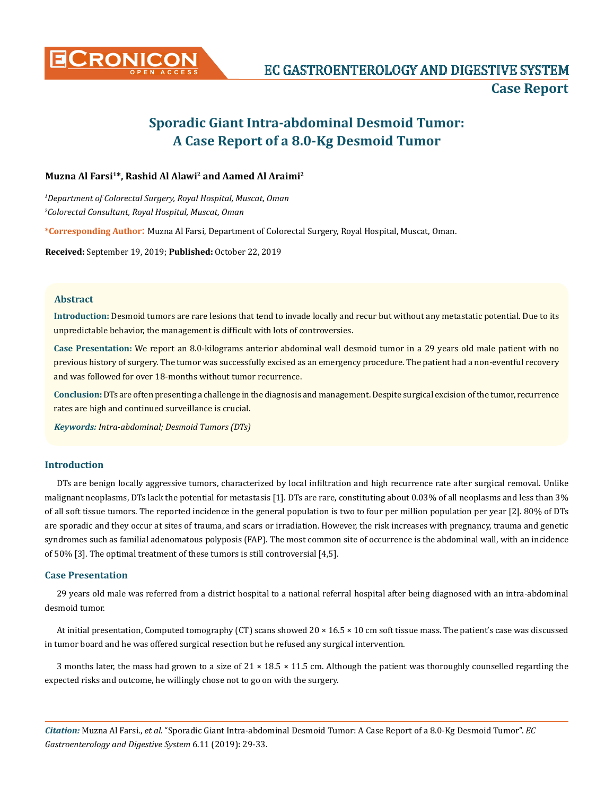

# **Sporadic Giant Intra-abdominal Desmoid Tumor: A Case Report of a 8.0-Kg Desmoid Tumor**

# **Muzna Al Farsi1\*, Rashid Al Alawi2 and Aamed Al Araimi2**

*1 Department of Colorectal Surgery, Royal Hospital, Muscat, Oman 2 Colorectal Consultant, Royal Hospital, Muscat, Oman*

**\*Corresponding Author**: Muzna Al Farsi, Department of Colorectal Surgery, Royal Hospital, Muscat, Oman.

**Received:** September 19, 2019; **Published:** October 22, 2019

## **Abstract**

**Introduction:** Desmoid tumors are rare lesions that tend to invade locally and recur but without any metastatic potential. Due to its unpredictable behavior, the management is difficult with lots of controversies.

**Case Presentation:** We report an 8.0-kilograms anterior abdominal wall desmoid tumor in a 29 years old male patient with no previous history of surgery. The tumor was successfully excised as an emergency procedure. The patient had a non-eventful recovery and was followed for over 18-months without tumor recurrence.

**Conclusion:** DTs are often presenting a challenge in the diagnosis and management. Despite surgical excision of the tumor, recurrence rates are high and continued surveillance is crucial.

*Keywords: Intra-abdominal; Desmoid Tumors (DTs)*

# **Introduction**

DTs are benign locally aggressive tumors, characterized by local infiltration and high recurrence rate after surgical removal. Unlike malignant neoplasms, DTs lack the potential for metastasis [1]. DTs are rare, constituting about 0.03% of all neoplasms and less than 3% of all soft tissue tumors. The reported incidence in the general population is two to four per million population per year [2]. 80% of DTs are sporadic and they occur at sites of trauma, and scars or irradiation. However, the risk increases with pregnancy, trauma and genetic syndromes such as familial adenomatous polyposis (FAP). The most common site of occurrence is the abdominal wall, with an incidence of 50% [3]. The optimal treatment of these tumors is still controversial [4,5].

# **Case Presentation**

29 years old male was referred from a district hospital to a national referral hospital after being diagnosed with an intra-abdominal desmoid tumor.

At initial presentation, Computed tomography (CT) scans showed 20 × 16.5 × 10 cm soft tissue mass. The patient's case was discussed in tumor board and he was offered surgical resection but he refused any surgical intervention.

3 months later, the mass had grown to a size of  $21 \times 18.5 \times 11.5$  cm. Although the patient was thoroughly counselled regarding the expected risks and outcome, he willingly chose not to go on with the surgery.

*Citation:* Muzna Al Farsi., *et al*. "Sporadic Giant Intra-abdominal Desmoid Tumor: A Case Report of a 8.0-Kg Desmoid Tumor". *EC Gastroenterology and Digestive System* 6.11 (2019): 29-33.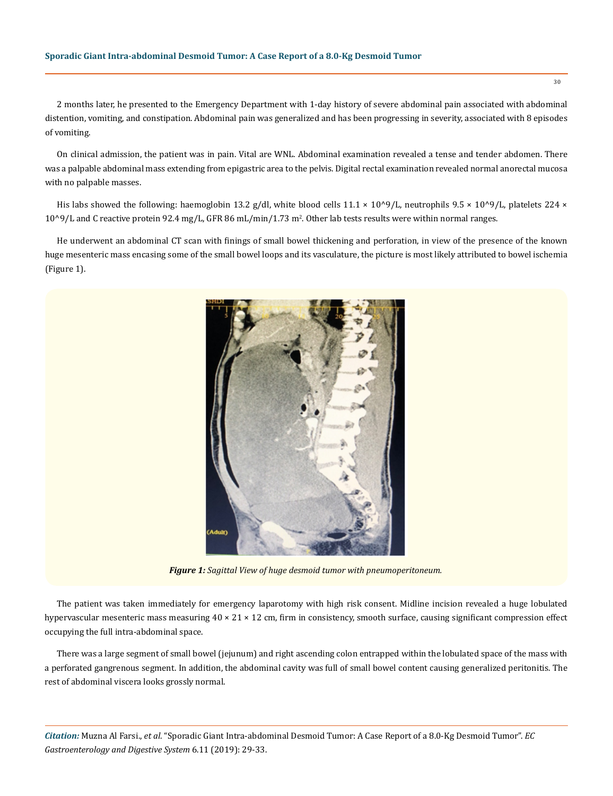2 months later, he presented to the Emergency Department with 1-day history of severe abdominal pain associated with abdominal distention, vomiting, and constipation. Abdominal pain was generalized and has been progressing in severity, associated with 8 episodes of vomiting.

On clinical admission, the patient was in pain. Vital are WNL. Abdominal examination revealed a tense and tender abdomen. There was a palpable abdominal mass extending from epigastric area to the pelvis. Digital rectal examination revealed normal anorectal mucosa with no palpable masses.

His labs showed the following: haemoglobin 13.2 g/dl, white blood cells  $11.1 \times 10^{9}/L$ , neutrophils 9.5 × 10^9/L, platelets 224 × 10^9/L and C reactive protein 92.4 mg/L, GFR 86 mL/min/1.73 m<sup>2</sup>. Other lab tests results were within normal ranges.

He underwent an abdominal CT scan with finings of small bowel thickening and perforation, in view of the presence of the known huge mesenteric mass encasing some of the small bowel loops and its vasculature, the picture is most likely attributed to bowel ischemia (Figure 1).



*Figure 1: Sagittal View of huge desmoid tumor with pneumoperitoneum.*

The patient was taken immediately for emergency laparotomy with high risk consent. Midline incision revealed a huge lobulated hypervascular mesenteric mass measuring 40 × 21 × 12 cm, firm in consistency, smooth surface, causing significant compression effect occupying the full intra-abdominal space.

There was a large segment of small bowel (jejunum) and right ascending colon entrapped within the lobulated space of the mass with a perforated gangrenous segment. In addition, the abdominal cavity was full of small bowel content causing generalized peritonitis. The rest of abdominal viscera looks grossly normal.

*Citation:* Muzna Al Farsi., *et al*. "Sporadic Giant Intra-abdominal Desmoid Tumor: A Case Report of a 8.0-Kg Desmoid Tumor". *EC Gastroenterology and Digestive System* 6.11 (2019): 29-33.

30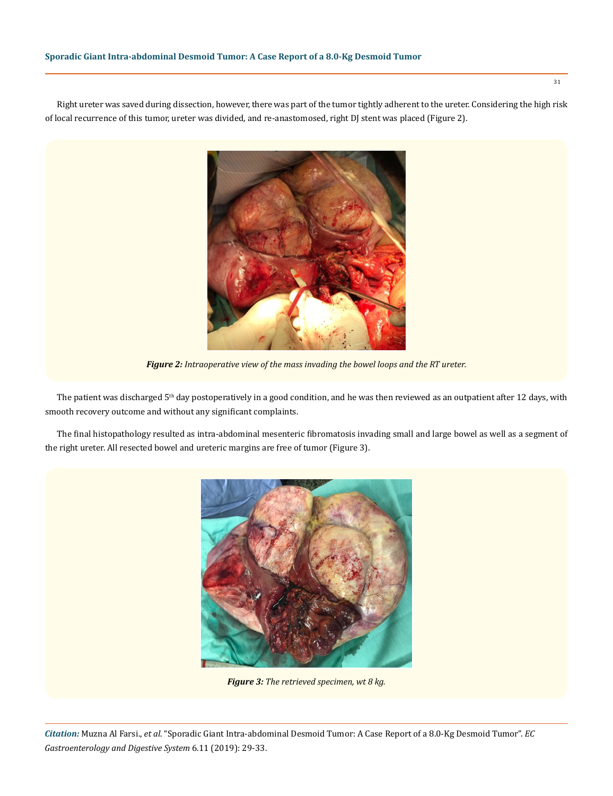Right ureter was saved during dissection, however, there was part of the tumor tightly adherent to the ureter. Considering the high risk of local recurrence of this tumor, ureter was divided, and re-anastomosed, right DJ stent was placed (Figure 2).



*Figure 2: Intraoperative view of the mass invading the bowel loops and the RT ureter.*

The patient was discharged 5<sup>th</sup> day postoperatively in a good condition, and he was then reviewed as an outpatient after 12 days, with smooth recovery outcome and without any significant complaints.

The final histopathology resulted as intra-abdominal mesenteric fibromatosis invading small and large bowel as well as a segment of the right ureter. All resected bowel and ureteric margins are free of tumor (Figure 3).



*Figure 3: The retrieved specimen, wt 8 kg.*

*Citation:* Muzna Al Farsi., *et al*. "Sporadic Giant Intra-abdominal Desmoid Tumor: A Case Report of a 8.0-Kg Desmoid Tumor". *EC Gastroenterology and Digestive System* 6.11 (2019): 29-33.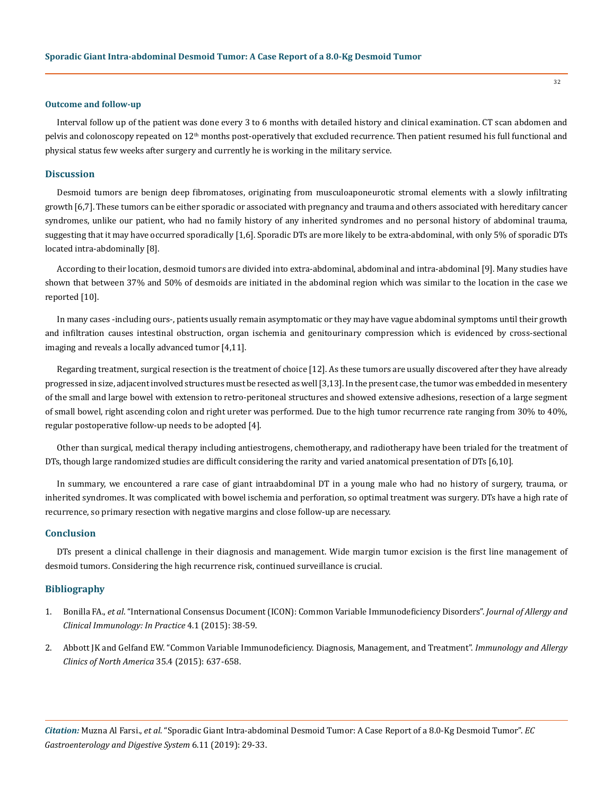#### **Outcome and follow-up**

Interval follow up of the patient was done every 3 to 6 months with detailed history and clinical examination. CT scan abdomen and pelvis and colonoscopy repeated on 12<sup>th</sup> months post-operatively that excluded recurrence. Then patient resumed his full functional and physical status few weeks after surgery and currently he is working in the military service.

### **Discussion**

Desmoid tumors are benign deep fibromatoses, originating from musculoaponeurotic stromal elements with a slowly infiltrating growth [6,7]. These tumors can be either sporadic or associated with pregnancy and trauma and others associated with hereditary cancer syndromes, unlike our patient, who had no family history of any inherited syndromes and no personal history of abdominal trauma, suggesting that it may have occurred sporadically [1,6]. Sporadic DTs are more likely to be extra-abdominal, with only 5% of sporadic DTs located intra-abdominally [8].

According to their location, desmoid tumors are divided into extra-abdominal, abdominal and intra-abdominal [9]. Many studies have shown that between 37% and 50% of desmoids are initiated in the abdominal region which was similar to the location in the case we reported [10].

In many cases -including ours-, patients usually remain asymptomatic or they may have vague abdominal symptoms until their growth and infiltration causes intestinal obstruction, organ ischemia and genitourinary compression which is evidenced by cross-sectional imaging and reveals a locally advanced tumor [4,11].

Regarding treatment, surgical resection is the treatment of choice [12]. As these tumors are usually discovered after they have already progressed in size, adjacent involved structures must be resected as well [3,13]. In the present case, the tumor was embedded in mesentery of the small and large bowel with extension to retro-peritoneal structures and showed extensive adhesions, resection of a large segment of small bowel, right ascending colon and right ureter was performed. Due to the high tumor recurrence rate ranging from 30% to 40%, regular postoperative follow-up needs to be adopted [4].

Other than surgical, medical therapy including antiestrogens, chemotherapy, and radiotherapy have been trialed for the treatment of DTs, though large randomized studies are difficult considering the rarity and varied anatomical presentation of DTs [6,10].

In summary, we encountered a rare case of giant intraabdominal DT in a young male who had no history of surgery, trauma, or inherited syndromes. It was complicated with bowel ischemia and perforation, so optimal treatment was surgery. DTs have a high rate of recurrence, so primary resection with negative margins and close follow-up are necessary.

# **Conclusion**

DTs present a clinical challenge in their diagnosis and management. Wide margin tumor excision is the first line management of desmoid tumors. Considering the high recurrence risk, continued surveillance is crucial.

## **Bibliography**

- 1. Bonilla FA., *et al*[. "International Consensus Document \(ICON\): Common Variable Immunodeficiency Disorders".](https://www.ncbi.nlm.nih.gov/pubmed/26563668) *Journal of Allergy and [Clinical Immunology: In Practice](https://www.ncbi.nlm.nih.gov/pubmed/26563668)* 4.1 (2015): 38-59.
- 2. [Abbott JK and Gelfand EW. "Common Variable Immunodeficiency. Diagnosis, Management, and Treatment".](https://www.ncbi.nlm.nih.gov/pubmed/26454311) *Immunology and Allergy [Clinics of North America](https://www.ncbi.nlm.nih.gov/pubmed/26454311)* 35.4 (2015): 637-658.

*Citation:* Muzna Al Farsi., *et al*. "Sporadic Giant Intra-abdominal Desmoid Tumor: A Case Report of a 8.0-Kg Desmoid Tumor". *EC Gastroenterology and Digestive System* 6.11 (2019): 29-33.